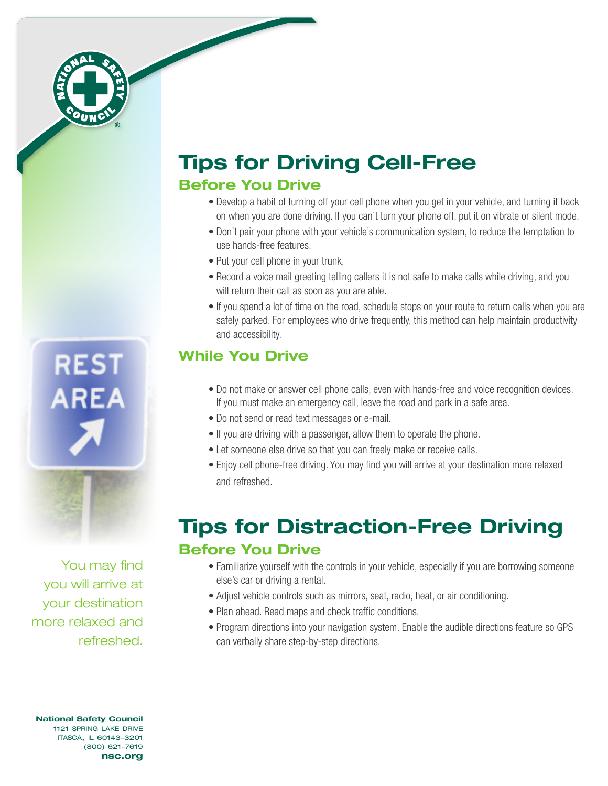

## Tips for Driving Cell-Free Before You Drive

- Develop a habit of turning off your cell phone when you get in your vehicle, and turning it back on when you are done driving. If you can't turn your phone off, put it on vibrate or silent mode.
- Don't pair your phone with your vehicle's communication system, to reduce the temptation to use hands-free features.
- Put your cell phone in your trunk.
- Record a voice mail greeting telling callers it is not safe to make calls while driving, and you will return their call as soon as you are able.
- If you spend a lot of time on the road, schedule stops on your route to return calls when you are safely parked. For employees who drive frequently, this method can help maintain productivity and accessibility.

### While You Drive

- Do not make or answer cell phone calls, even with hands-free and voice recognition devices. If you must make an emergency call, leave the road and park in a safe area.
- Do not send or read text messages or e-mail.
- If you are driving with a passenger, allow them to operate the phone.
- Let someone else drive so that you can freely make or receive calls.
- Enjoy cell phone-free driving. You may find you will arrive at your destination more relaxed and refreshed.

# Tips for Distraction-Free Driving Before You Drive

- Familiarize yourself with the controls in your vehicle, especially if you are borrowing someone else's car or driving a rental.
- Adjust vehicle controls such as mirrors, seat, radio, heat, or air conditioning.
- Plan ahead. Read maps and check traffic conditions.
- Program directions into your navigation system. Enable the audible directions feature so GPS can verbally share step-by-step directions.

You may find you will arrive at your destination more relaxed and refreshed.

**REST** 

**AREA** 

National Safety Council 1121 spring lake drive itasca, il 60143-3201 (800) 621-7619 nsc.org